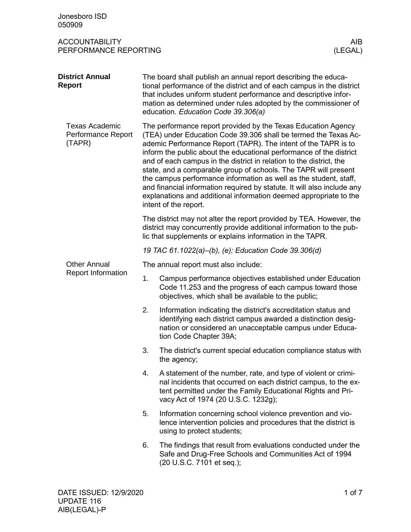| Jonesboro ISD<br>050909                               |                                                                                                                                                                                                                                                                                                                                                                                                                                                                                                                                                                                                                                                                   |                                                                                                                                                                                                                                         |  |  |
|-------------------------------------------------------|-------------------------------------------------------------------------------------------------------------------------------------------------------------------------------------------------------------------------------------------------------------------------------------------------------------------------------------------------------------------------------------------------------------------------------------------------------------------------------------------------------------------------------------------------------------------------------------------------------------------------------------------------------------------|-----------------------------------------------------------------------------------------------------------------------------------------------------------------------------------------------------------------------------------------|--|--|
| <b>ACCOUNTABILITY</b><br>PERFORMANCE REPORTING        |                                                                                                                                                                                                                                                                                                                                                                                                                                                                                                                                                                                                                                                                   | AIB<br>(LEGAL)                                                                                                                                                                                                                          |  |  |
| <b>District Annual</b><br><b>Report</b>               | The board shall publish an annual report describing the educa-<br>tional performance of the district and of each campus in the district<br>that includes uniform student performance and descriptive infor-<br>mation as determined under rules adopted by the commissioner of<br>education. Education Code 39.306(a)                                                                                                                                                                                                                                                                                                                                             |                                                                                                                                                                                                                                         |  |  |
| <b>Texas Academic</b><br>Performance Report<br>(TAPR) | The performance report provided by the Texas Education Agency<br>(TEA) under Education Code 39.306 shall be termed the Texas Ac-<br>ademic Performance Report (TAPR). The intent of the TAPR is to<br>inform the public about the educational performance of the district<br>and of each campus in the district in relation to the district, the<br>state, and a comparable group of schools. The TAPR will present<br>the campus performance information as well as the student, staff,<br>and financial information required by statute. It will also include any<br>explanations and additional information deemed appropriate to the<br>intent of the report. |                                                                                                                                                                                                                                         |  |  |
|                                                       | The district may not alter the report provided by TEA. However, the<br>district may concurrently provide additional information to the pub-<br>lic that supplements or explains information in the TAPR.                                                                                                                                                                                                                                                                                                                                                                                                                                                          |                                                                                                                                                                                                                                         |  |  |
|                                                       |                                                                                                                                                                                                                                                                                                                                                                                                                                                                                                                                                                                                                                                                   | 19 TAC 61.1022(a)–(b), (e); Education Code 39.306(d)                                                                                                                                                                                    |  |  |
| <b>Other Annual</b>                                   |                                                                                                                                                                                                                                                                                                                                                                                                                                                                                                                                                                                                                                                                   | The annual report must also include:                                                                                                                                                                                                    |  |  |
| <b>Report Information</b>                             | 1.                                                                                                                                                                                                                                                                                                                                                                                                                                                                                                                                                                                                                                                                | Campus performance objectives established under Education<br>Code 11.253 and the progress of each campus toward those<br>objectives, which shall be available to the public;                                                            |  |  |
|                                                       | 2.                                                                                                                                                                                                                                                                                                                                                                                                                                                                                                                                                                                                                                                                | Information indicating the district's accreditation status and<br>identifying each district campus awarded a distinction desig-<br>nation or considered an unacceptable campus under Educa-<br>tion Code Chapter 39A;                   |  |  |
|                                                       | 3.                                                                                                                                                                                                                                                                                                                                                                                                                                                                                                                                                                                                                                                                | The district's current special education compliance status with<br>the agency;                                                                                                                                                          |  |  |
|                                                       | 4.                                                                                                                                                                                                                                                                                                                                                                                                                                                                                                                                                                                                                                                                | A statement of the number, rate, and type of violent or crimi-<br>nal incidents that occurred on each district campus, to the ex-<br>tent permitted under the Family Educational Rights and Pri-<br>vacy Act of 1974 (20 U.S.C. 1232g); |  |  |
|                                                       | 5.                                                                                                                                                                                                                                                                                                                                                                                                                                                                                                                                                                                                                                                                | Information concerning school violence prevention and vio-<br>lence intervention policies and procedures that the district is<br>using to protect students;                                                                             |  |  |
|                                                       | 6.                                                                                                                                                                                                                                                                                                                                                                                                                                                                                                                                                                                                                                                                | The findings that result from evaluations conducted under the<br>Safe and Drug-Free Schools and Communities Act of 1994<br>(20 U.S.C. 7101 et seq.);                                                                                    |  |  |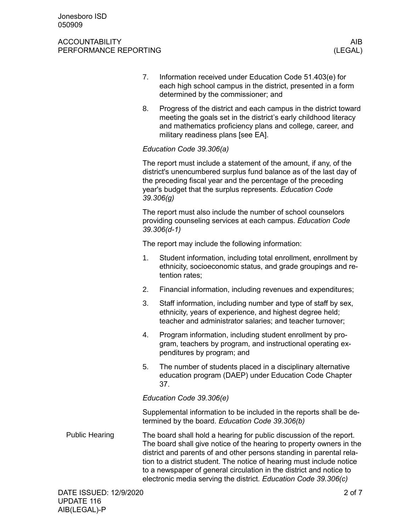- 7. Information received under Education Code 51.403(e) for each high school campus in the district, presented in a form determined by the commissioner; and
- 8. Progress of the district and each campus in the district toward meeting the goals set in the district's early childhood literacy and mathematics proficiency plans and college, career, and military readiness plans [see EA].

# *Education Code 39.306(a)*

The report must include a statement of the amount, if any, of the district's unencumbered surplus fund balance as of the last day of the preceding fiscal year and the percentage of the preceding year's budget that the surplus represents. *Education Code 39.306(g)*

The report must also include the number of school counselors providing counseling services at each campus. *Education Code 39.306(d-1)*

The report may include the following information:

- 1. Student information, including total enrollment, enrollment by ethnicity, socioeconomic status, and grade groupings and retention rates;
- 2. Financial information, including revenues and expenditures;
- 3. Staff information, including number and type of staff by sex, ethnicity, years of experience, and highest degree held; teacher and administrator salaries; and teacher turnover;
- 4. Program information, including student enrollment by program, teachers by program, and instructional operating expenditures by program; and
- 5. The number of students placed in a disciplinary alternative education program (DAEP) under Education Code Chapter 37.

*Education Code 39.306(e)*

Supplemental information to be included in the reports shall be determined by the board. *Education Code 39.306(b)*

The board shall hold a hearing for public discussion of the report. The board shall give notice of the hearing to property owners in the district and parents of and other persons standing in parental relation to a district student. The notice of hearing must include notice to a newspaper of general circulation in the district and notice to electronic media serving the district. *Education Code 39.306(c)* Public Hearing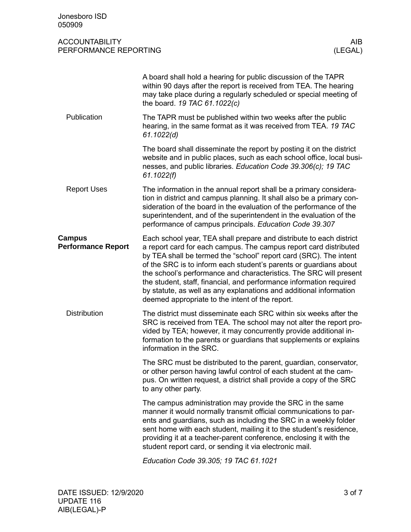| Jonesboro ISD<br>050909                        |                                                                                                                                                                                                                                                                                                                                                                                                                                                                                                                                                          |                 |
|------------------------------------------------|----------------------------------------------------------------------------------------------------------------------------------------------------------------------------------------------------------------------------------------------------------------------------------------------------------------------------------------------------------------------------------------------------------------------------------------------------------------------------------------------------------------------------------------------------------|-----------------|
| <b>ACCOUNTABILITY</b><br>PERFORMANCE REPORTING |                                                                                                                                                                                                                                                                                                                                                                                                                                                                                                                                                          | AIB.<br>(LEGAL) |
|                                                | A board shall hold a hearing for public discussion of the TAPR<br>within 90 days after the report is received from TEA. The hearing<br>may take place during a regularly scheduled or special meeting of<br>the board. 19 TAC 61.1022(c)                                                                                                                                                                                                                                                                                                                 |                 |
| Publication                                    | The TAPR must be published within two weeks after the public<br>hearing, in the same format as it was received from TEA. 19 TAC<br>61.1022(d)                                                                                                                                                                                                                                                                                                                                                                                                            |                 |
|                                                | The board shall disseminate the report by posting it on the district<br>website and in public places, such as each school office, local busi-<br>nesses, and public libraries. Education Code 39.306(c); 19 TAC<br>61.1022(f)                                                                                                                                                                                                                                                                                                                            |                 |
| <b>Report Uses</b>                             | The information in the annual report shall be a primary considera-<br>tion in district and campus planning. It shall also be a primary con-<br>sideration of the board in the evaluation of the performance of the<br>superintendent, and of the superintendent in the evaluation of the<br>performance of campus principals. Education Code 39.307                                                                                                                                                                                                      |                 |
| <b>Campus</b><br><b>Performance Report</b>     | Each school year, TEA shall prepare and distribute to each district<br>a report card for each campus. The campus report card distributed<br>by TEA shall be termed the "school" report card (SRC). The intent<br>of the SRC is to inform each student's parents or guardians about<br>the school's performance and characteristics. The SRC will present<br>the student, staff, financial, and performance information required<br>by statute, as well as any explanations and additional information<br>deemed appropriate to the intent of the report. |                 |
| <b>Distribution</b>                            | The district must disseminate each SRC within six weeks after the<br>SRC is received from TEA. The school may not alter the report pro-<br>vided by TEA; however, it may concurrently provide additional in-<br>formation to the parents or guardians that supplements or explains<br>information in the SRC.                                                                                                                                                                                                                                            |                 |
|                                                | The SRC must be distributed to the parent, guardian, conservator,<br>or other person having lawful control of each student at the cam-<br>pus. On written request, a district shall provide a copy of the SRC<br>to any other party.                                                                                                                                                                                                                                                                                                                     |                 |
|                                                | The campus administration may provide the SRC in the same<br>manner it would normally transmit official communications to par-<br>ents and guardians, such as including the SRC in a weekly folder<br>sent home with each student, mailing it to the student's residence,<br>providing it at a teacher-parent conference, enclosing it with the<br>student report card, or sending it via electronic mail.                                                                                                                                               |                 |
|                                                |                                                                                                                                                                                                                                                                                                                                                                                                                                                                                                                                                          |                 |

*Education Code 39.305; 19 TAC 61.1021*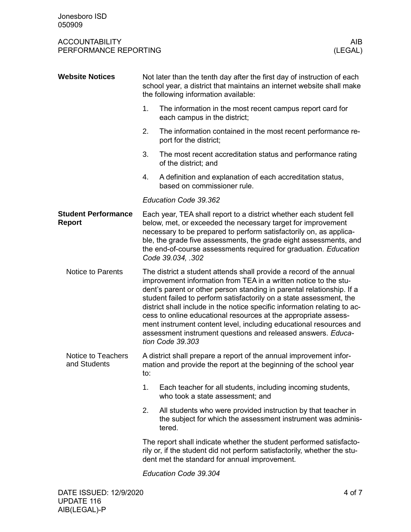| <b>Website Notices</b>                      | Not later than the tenth day after the first day of instruction of each<br>school year, a district that maintains an internet website shall make<br>the following information available:                                                                                                                                                                                                                                                                                                                                                                                                          |                                                                                                                                         |  |  |  |
|---------------------------------------------|---------------------------------------------------------------------------------------------------------------------------------------------------------------------------------------------------------------------------------------------------------------------------------------------------------------------------------------------------------------------------------------------------------------------------------------------------------------------------------------------------------------------------------------------------------------------------------------------------|-----------------------------------------------------------------------------------------------------------------------------------------|--|--|--|
|                                             | 1.                                                                                                                                                                                                                                                                                                                                                                                                                                                                                                                                                                                                | The information in the most recent campus report card for<br>each campus in the district;                                               |  |  |  |
|                                             | 2.                                                                                                                                                                                                                                                                                                                                                                                                                                                                                                                                                                                                | The information contained in the most recent performance re-<br>port for the district;                                                  |  |  |  |
|                                             | 3.                                                                                                                                                                                                                                                                                                                                                                                                                                                                                                                                                                                                | The most recent accreditation status and performance rating<br>of the district; and                                                     |  |  |  |
|                                             | 4.                                                                                                                                                                                                                                                                                                                                                                                                                                                                                                                                                                                                | A definition and explanation of each accreditation status,<br>based on commissioner rule.                                               |  |  |  |
|                                             |                                                                                                                                                                                                                                                                                                                                                                                                                                                                                                                                                                                                   | Education Code 39.362                                                                                                                   |  |  |  |
| <b>Student Performance</b><br><b>Report</b> | Each year, TEA shall report to a district whether each student fell<br>below, met, or exceeded the necessary target for improvement<br>necessary to be prepared to perform satisfactorily on, as applica-<br>ble, the grade five assessments, the grade eight assessments, and<br>the end-of-course assessments required for graduation. Education<br>Code 39.034, .302                                                                                                                                                                                                                           |                                                                                                                                         |  |  |  |
| <b>Notice to Parents</b>                    | The district a student attends shall provide a record of the annual<br>improvement information from TEA in a written notice to the stu-<br>dent's parent or other person standing in parental relationship. If a<br>student failed to perform satisfactorily on a state assessment, the<br>district shall include in the notice specific information relating to ac-<br>cess to online educational resources at the appropriate assess-<br>ment instrument content level, including educational resources and<br>assessment instrument questions and released answers. Educa-<br>tion Code 39.303 |                                                                                                                                         |  |  |  |
| Notice to Teachers<br>and Students          | A district shall prepare a report of the annual improvement infor-<br>mation and provide the report at the beginning of the school year<br>to:                                                                                                                                                                                                                                                                                                                                                                                                                                                    |                                                                                                                                         |  |  |  |
|                                             | 1.                                                                                                                                                                                                                                                                                                                                                                                                                                                                                                                                                                                                | Each teacher for all students, including incoming students,<br>who took a state assessment; and                                         |  |  |  |
|                                             | 2.                                                                                                                                                                                                                                                                                                                                                                                                                                                                                                                                                                                                | All students who were provided instruction by that teacher in<br>the subject for which the assessment instrument was adminis-<br>tered. |  |  |  |
|                                             | The report shall indicate whether the student performed satisfacto-<br>rily or, if the student did not perform satisfactorily, whether the stu-<br>dent met the standard for annual improvement.                                                                                                                                                                                                                                                                                                                                                                                                  |                                                                                                                                         |  |  |  |
|                                             | Education Code 39.304                                                                                                                                                                                                                                                                                                                                                                                                                                                                                                                                                                             |                                                                                                                                         |  |  |  |
|                                             |                                                                                                                                                                                                                                                                                                                                                                                                                                                                                                                                                                                                   |                                                                                                                                         |  |  |  |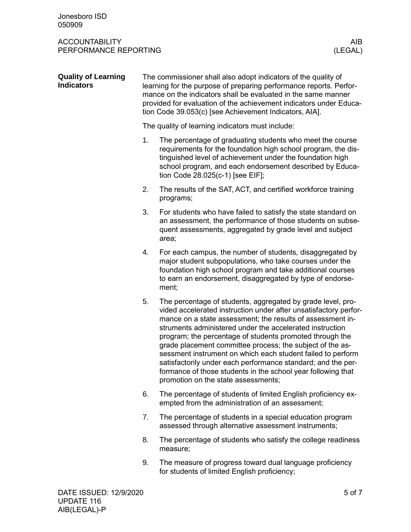| <b>Quality of Learning</b><br><b>Indicators</b> | The commissioner shall also adopt indicators of the quality of<br>learning for the purpose of preparing performance reports. Perfor-<br>mance on the indicators shall be evaluated in the same manner<br>provided for evaluation of the achievement indicators under Educa-<br>tion Code 39.053(c) [see Achievement Indicators, AIA]. |                                                                                                                                                                                                                                                                                                                                                                                                                                                                                                                                                                                                                          |  |
|-------------------------------------------------|---------------------------------------------------------------------------------------------------------------------------------------------------------------------------------------------------------------------------------------------------------------------------------------------------------------------------------------|--------------------------------------------------------------------------------------------------------------------------------------------------------------------------------------------------------------------------------------------------------------------------------------------------------------------------------------------------------------------------------------------------------------------------------------------------------------------------------------------------------------------------------------------------------------------------------------------------------------------------|--|
|                                                 | The quality of learning indicators must include:                                                                                                                                                                                                                                                                                      |                                                                                                                                                                                                                                                                                                                                                                                                                                                                                                                                                                                                                          |  |
|                                                 | 1.                                                                                                                                                                                                                                                                                                                                    | The percentage of graduating students who meet the course<br>requirements for the foundation high school program, the dis-<br>tinguished level of achievement under the foundation high<br>school program, and each endorsement described by Educa-<br>tion Code 28.025(c-1) [see EIF];                                                                                                                                                                                                                                                                                                                                  |  |
|                                                 | 2.                                                                                                                                                                                                                                                                                                                                    | The results of the SAT, ACT, and certified workforce training<br>programs;                                                                                                                                                                                                                                                                                                                                                                                                                                                                                                                                               |  |
|                                                 | 3.                                                                                                                                                                                                                                                                                                                                    | For students who have failed to satisfy the state standard on<br>an assessment, the performance of those students on subse-<br>quent assessments, aggregated by grade level and subject<br>area;                                                                                                                                                                                                                                                                                                                                                                                                                         |  |
|                                                 | 4.                                                                                                                                                                                                                                                                                                                                    | For each campus, the number of students, disaggregated by<br>major student subpopulations, who take courses under the<br>foundation high school program and take additional courses<br>to earn an endorsement, disaggregated by type of endorse-<br>ment;                                                                                                                                                                                                                                                                                                                                                                |  |
|                                                 | 5.                                                                                                                                                                                                                                                                                                                                    | The percentage of students, aggregated by grade level, pro-<br>vided accelerated instruction under after unsatisfactory perfor-<br>mance on a state assessment; the results of assessment in-<br>struments administered under the accelerated instruction<br>program; the percentage of students promoted through the<br>grade placement committee process; the subject of the as-<br>sessment instrument on which each student failed to perform<br>satisfactorily under each performance standard; and the per-<br>formance of those students in the school year following that<br>promotion on the state assessments; |  |
|                                                 | 6.                                                                                                                                                                                                                                                                                                                                    | The percentage of students of limited English proficiency ex-<br>empted from the administration of an assessment;                                                                                                                                                                                                                                                                                                                                                                                                                                                                                                        |  |
|                                                 | 7.                                                                                                                                                                                                                                                                                                                                    | The percentage of students in a special education program<br>assessed through alternative assessment instruments;                                                                                                                                                                                                                                                                                                                                                                                                                                                                                                        |  |
|                                                 | 8.                                                                                                                                                                                                                                                                                                                                    | The percentage of students who satisfy the college readiness<br>measure;                                                                                                                                                                                                                                                                                                                                                                                                                                                                                                                                                 |  |
|                                                 |                                                                                                                                                                                                                                                                                                                                       | The measure of pregress toward dual longuage proficiency                                                                                                                                                                                                                                                                                                                                                                                                                                                                                                                                                                 |  |

9. The measure of progress toward dual language proficiency for students of limited English proficiency;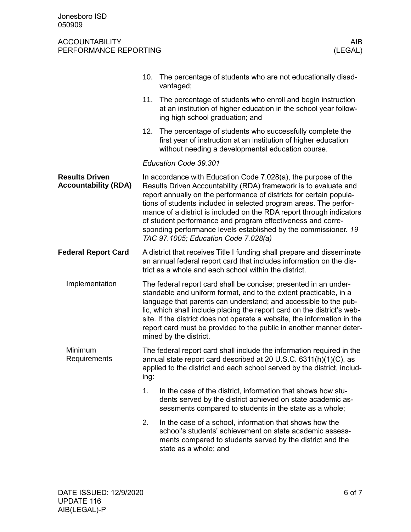|                                                      | 10.                                                                                                                                                                                                                                                                                                                                                                                                                                                                                                                              | The percentage of students who are not educationally disad-<br>vantaged;                                                                                                                                  |  |  |
|------------------------------------------------------|----------------------------------------------------------------------------------------------------------------------------------------------------------------------------------------------------------------------------------------------------------------------------------------------------------------------------------------------------------------------------------------------------------------------------------------------------------------------------------------------------------------------------------|-----------------------------------------------------------------------------------------------------------------------------------------------------------------------------------------------------------|--|--|
|                                                      | 11.                                                                                                                                                                                                                                                                                                                                                                                                                                                                                                                              | The percentage of students who enroll and begin instruction<br>at an institution of higher education in the school year follow-<br>ing high school graduation; and                                        |  |  |
|                                                      | 12.                                                                                                                                                                                                                                                                                                                                                                                                                                                                                                                              | The percentage of students who successfully complete the<br>first year of instruction at an institution of higher education<br>without needing a developmental education course.                          |  |  |
|                                                      | Education Code 39.301                                                                                                                                                                                                                                                                                                                                                                                                                                                                                                            |                                                                                                                                                                                                           |  |  |
| <b>Results Driven</b><br><b>Accountability (RDA)</b> | In accordance with Education Code 7.028(a), the purpose of the<br>Results Driven Accountability (RDA) framework is to evaluate and<br>report annually on the performance of districts for certain popula-<br>tions of students included in selected program areas. The perfor-<br>mance of a district is included on the RDA report through indicators<br>of student performance and program effectiveness and corre-<br>sponding performance levels established by the commissioner. 19<br>TAC 97.1005; Education Code 7.028(a) |                                                                                                                                                                                                           |  |  |
| <b>Federal Report Card</b>                           | A district that receives Title I funding shall prepare and disseminate<br>an annual federal report card that includes information on the dis-<br>trict as a whole and each school within the district.                                                                                                                                                                                                                                                                                                                           |                                                                                                                                                                                                           |  |  |
| Implementation                                       | The federal report card shall be concise; presented in an under-<br>standable and uniform format, and to the extent practicable, in a<br>language that parents can understand; and accessible to the pub-<br>lic, which shall include placing the report card on the district's web-<br>site. If the district does not operate a website, the information in the<br>report card must be provided to the public in another manner deter-<br>mined by the district.                                                                |                                                                                                                                                                                                           |  |  |
| Minimum<br>Requirements                              | The federal report card shall include the information required in the<br>annual state report card described at 20 U.S.C. 6311(h)(1)(C), as<br>applied to the district and each school served by the district, includ-<br>ing:                                                                                                                                                                                                                                                                                                    |                                                                                                                                                                                                           |  |  |
|                                                      | 1.                                                                                                                                                                                                                                                                                                                                                                                                                                                                                                                               | In the case of the district, information that shows how stu-<br>dents served by the district achieved on state academic as-<br>sessments compared to students in the state as a whole;                    |  |  |
|                                                      | 2.                                                                                                                                                                                                                                                                                                                                                                                                                                                                                                                               | In the case of a school, information that shows how the<br>school's students' achievement on state academic assess-<br>ments compared to students served by the district and the<br>state as a whole; and |  |  |